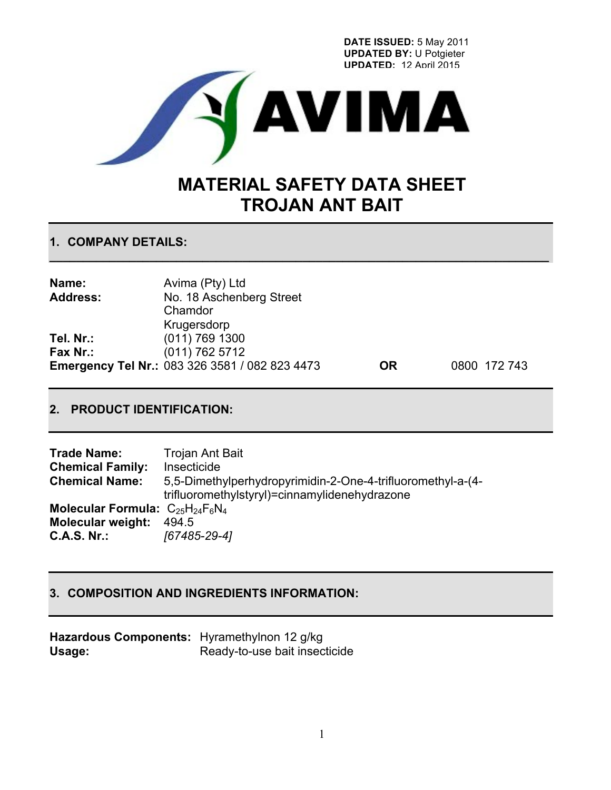**DATE ISSUED:** 5 May 2011 **UPDATED BY:** U Potgieter **UPDATED:** 12 April 2015



# **MATERIAL SAFETY DATA SHEET TROJAN ANT BAIT**

## **1. COMPANY DETAILS:**

| Name:           | Avima (Pty) Ltd                                       |           |              |
|-----------------|-------------------------------------------------------|-----------|--------------|
| <b>Address:</b> | No. 18 Aschenberg Street                              |           |              |
|                 | Chamdor                                               |           |              |
|                 | Krugersdorp                                           |           |              |
| Tel. Nr.:       | $(011)$ 769 1300                                      |           |              |
| Fax Nr.:        | $(011)$ 762 5712                                      |           |              |
|                 | <b>Emergency Tel Nr.: 083 326 3581 / 082 823 4473</b> | <b>OR</b> | 0800 172 743 |

**\_\_\_\_\_\_\_\_\_\_\_\_\_\_\_\_\_\_\_\_\_\_\_\_\_\_\_\_\_\_\_\_\_\_\_\_\_\_\_\_\_\_\_\_\_\_\_\_\_\_\_\_\_\_\_\_\_\_\_\_\_\_\_\_\_\_\_\_\_\_\_\_\_\_\_**

# **2. PRODUCT IDENTIFICATION:**

| <b>Trade Name:</b>                      | Trojan Ant Bait                                             |
|-----------------------------------------|-------------------------------------------------------------|
| <b>Chemical Family:</b>                 | Insecticide                                                 |
| <b>Chemical Name:</b>                   | 5,5-Dimethylperhydropyrimidin-2-One-4-trifluoromethyl-a-(4- |
|                                         | trifluoromethylstyryl)=cinnamylidenehydrazone               |
| Molecular Formula: $C_{25}H_{24}F_6N_4$ |                                                             |
| <b>Molecular weight:</b>                | 494.5                                                       |
| <b>C.A.S. Nr.:</b>                      | [67485-29-4]                                                |

## **3. COMPOSITION AND INGREDIENTS INFORMATION:**

| Hazardous Components: Hyramethylnon 12 g/kg |                               |
|---------------------------------------------|-------------------------------|
| Usage:                                      | Ready-to-use bait insecticide |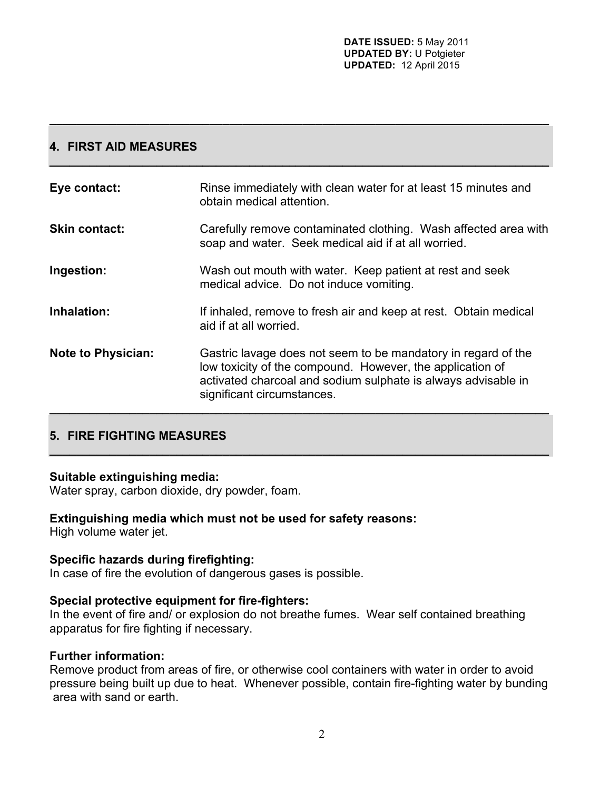# **4. FIRST AID MEASURES**

| Eye contact:              | Rinse immediately with clean water for at least 15 minutes and<br>obtain medical attention.                                                                                                                               |
|---------------------------|---------------------------------------------------------------------------------------------------------------------------------------------------------------------------------------------------------------------------|
| <b>Skin contact:</b>      | Carefully remove contaminated clothing. Wash affected area with<br>soap and water. Seek medical aid if at all worried.                                                                                                    |
| Ingestion:                | Wash out mouth with water. Keep patient at rest and seek<br>medical advice. Do not induce vomiting.                                                                                                                       |
| Inhalation:               | If inhaled, remove to fresh air and keep at rest. Obtain medical<br>aid if at all worried.                                                                                                                                |
| <b>Note to Physician:</b> | Gastric lavage does not seem to be mandatory in regard of the<br>low toxicity of the compound. However, the application of<br>activated charcoal and sodium sulphate is always advisable in<br>significant circumstances. |

**\_\_\_\_\_\_\_\_\_\_\_\_\_\_\_\_\_\_\_\_\_\_\_\_\_\_\_\_\_\_\_\_\_\_\_\_\_\_\_\_\_\_\_\_\_\_\_\_\_\_\_\_\_\_\_\_\_\_\_\_\_\_\_\_\_\_\_\_\_\_\_\_\_\_\_**

**\_\_\_\_\_\_\_\_\_\_\_\_\_\_\_\_\_\_\_\_\_\_\_\_\_\_\_\_\_\_\_\_\_\_\_\_\_\_\_\_\_\_\_\_\_\_\_\_\_\_\_\_\_\_\_\_\_\_\_\_\_\_\_\_\_\_\_\_\_\_\_\_\_\_\_**

**\_\_\_\_\_\_\_\_\_\_\_\_\_\_\_\_\_\_\_\_\_\_\_\_\_\_\_\_\_\_\_\_\_\_\_\_\_\_\_\_\_\_\_\_\_\_\_\_\_\_\_\_\_\_\_\_\_\_\_\_\_\_\_\_\_\_\_\_\_\_\_\_\_\_\_**

# **5. FIRE FIGHTING MEASURES**

## **Suitable extinguishing media:**

Water spray, carbon dioxide, dry powder, foam.

# **Extinguishing media which must not be used for safety reasons:**

High volume water jet.

## **Specific hazards during firefighting:**

In case of fire the evolution of dangerous gases is possible.

#### **Special protective equipment for fire-fighters:**

In the event of fire and/ or explosion do not breathe fumes. Wear self contained breathing apparatus for fire fighting if necessary.

#### **Further information:**

Remove product from areas of fire, or otherwise cool containers with water in order to avoid pressure being built up due to heat. Whenever possible, contain fire-fighting water by bunding area with sand or earth.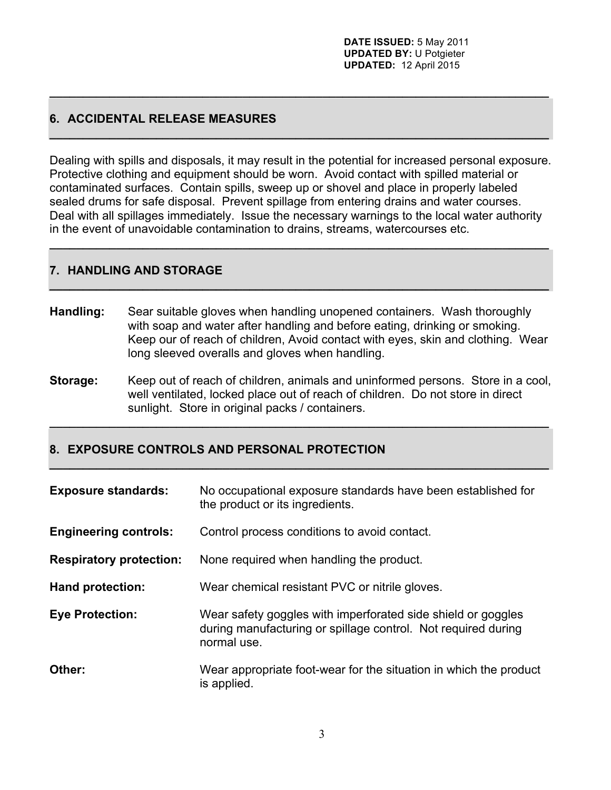# **6. ACCIDENTAL RELEASE MEASURES**

Dealing with spills and disposals, it may result in the potential for increased personal exposure. Protective clothing and equipment should be worn. Avoid contact with spilled material or contaminated surfaces. Contain spills, sweep up or shovel and place in properly labeled sealed drums for safe disposal. Prevent spillage from entering drains and water courses. Deal with all spillages immediately. Issue the necessary warnings to the local water authority in the event of unavoidable contamination to drains, streams, watercourses etc.

**\_\_\_\_\_\_\_\_\_\_\_\_\_\_\_\_\_\_\_\_\_\_\_\_\_\_\_\_\_\_\_\_\_\_\_\_\_\_\_\_\_\_\_\_\_\_\_\_\_\_\_\_\_\_\_\_\_\_\_\_\_\_\_\_\_\_\_\_\_\_\_\_\_\_\_**

**\_\_\_\_\_\_\_\_\_\_\_\_\_\_\_\_\_\_\_\_\_\_\_\_\_\_\_\_\_\_\_\_\_\_\_\_\_\_\_\_\_\_\_\_\_\_\_\_\_\_\_\_\_\_\_\_\_\_\_\_\_\_\_\_\_\_\_\_\_\_\_\_\_\_\_**

**\_\_\_\_\_\_\_\_\_\_\_\_\_\_\_\_\_\_\_\_\_\_\_\_\_\_\_\_\_\_\_\_\_\_\_\_\_\_\_\_\_\_\_\_\_\_\_\_\_\_\_\_\_\_\_\_\_\_\_\_\_\_\_\_\_\_\_\_\_\_\_\_\_\_\_**

**\_\_\_\_\_\_\_\_\_\_\_\_\_\_\_\_\_\_\_\_\_\_\_\_\_\_\_\_\_\_\_\_\_\_\_\_\_\_\_\_\_\_\_\_\_\_\_\_\_\_\_\_\_\_\_\_\_\_\_\_\_\_\_\_\_\_\_\_\_\_\_\_\_\_\_**

## **7. HANDLING AND STORAGE**

- **Handling:** Sear suitable gloves when handling unopened containers. Wash thoroughly with soap and water after handling and before eating, drinking or smoking. Keep our of reach of children, Avoid contact with eyes, skin and clothing. Wear long sleeved overalls and gloves when handling.
- **Storage:** Keep out of reach of children, animals and uninformed persons. Store in a cool, well ventilated, locked place out of reach of children. Do not store in direct sunlight. Store in original packs / containers.

**\_\_\_\_\_\_\_\_\_\_\_\_\_\_\_\_\_\_\_\_\_\_\_\_\_\_\_\_\_\_\_\_\_\_\_\_\_\_\_\_\_\_\_\_\_\_\_\_\_\_\_\_\_\_\_\_\_\_\_\_\_\_\_\_\_\_\_\_\_\_\_\_\_\_\_**

**\_\_\_\_\_\_\_\_\_\_\_\_\_\_\_\_\_\_\_\_\_\_\_\_\_\_\_\_\_\_\_\_\_\_\_\_\_\_\_\_\_\_\_\_\_\_\_\_\_\_\_\_\_\_\_\_\_\_\_\_\_\_\_\_\_\_\_\_\_\_\_\_\_\_\_**

# **8. EXPOSURE CONTROLS AND PERSONAL PROTECTION**

| <b>Exposure standards:</b>     | No occupational exposure standards have been established for<br>the product or its ingredients.                                              |
|--------------------------------|----------------------------------------------------------------------------------------------------------------------------------------------|
| <b>Engineering controls:</b>   | Control process conditions to avoid contact.                                                                                                 |
| <b>Respiratory protection:</b> | None required when handling the product.                                                                                                     |
| <b>Hand protection:</b>        | Wear chemical resistant PVC or nitrile gloves.                                                                                               |
| <b>Eye Protection:</b>         | Wear safety goggles with imperforated side shield or goggles<br>during manufacturing or spillage control. Not required during<br>normal use. |
| Other:                         | Wear appropriate foot-wear for the situation in which the product<br>is applied.                                                             |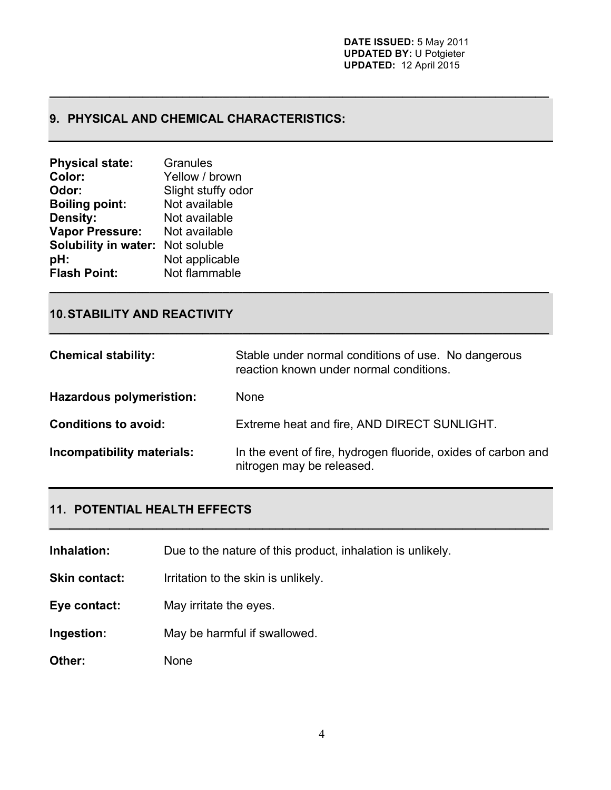# **9. PHYSICAL AND CHEMICAL CHARACTERISTICS:**

| <b>Physical state:</b>                  | Granules           |
|-----------------------------------------|--------------------|
| Color:                                  | Yellow / brown     |
| Odor:                                   | Slight stuffy odor |
| <b>Boiling point:</b>                   | Not available      |
| <b>Density:</b>                         | Not available      |
| <b>Vapor Pressure:</b>                  | Not available      |
| <b>Solubility in water: Not soluble</b> |                    |
| pH:                                     | Not applicable     |
| <b>Flash Point:</b>                     | Not flammable      |
|                                         |                    |

## **10.STABILITY AND REACTIVITY**

| <b>Chemical stability:</b>      | Stable under normal conditions of use. No dangerous<br>reaction known under normal conditions. |
|---------------------------------|------------------------------------------------------------------------------------------------|
| <b>Hazardous polymeristion:</b> | <b>None</b>                                                                                    |
| <b>Conditions to avoid:</b>     | Extreme heat and fire, AND DIRECT SUNLIGHT.                                                    |
| Incompatibility materials:      | In the event of fire, hydrogen fluoride, oxides of carbon and<br>nitrogen may be released.     |

**\_\_\_\_\_\_\_\_\_\_\_\_\_\_\_\_\_\_\_\_\_\_\_\_\_\_\_\_\_\_\_\_\_\_\_\_\_\_\_\_\_\_\_\_\_\_\_\_\_\_\_\_\_\_\_\_\_\_\_\_\_\_\_\_\_\_\_\_\_\_\_\_\_\_\_**

**\_\_\_\_\_\_\_\_\_\_\_\_\_\_\_\_\_\_\_\_\_\_\_\_\_\_\_\_\_\_\_\_\_\_\_\_\_\_\_\_\_\_\_\_\_\_\_\_\_\_\_\_\_\_\_\_\_\_\_\_\_\_\_\_\_\_\_\_\_\_\_\_\_\_\_**

**\_\_\_\_\_\_\_\_\_\_\_\_\_\_\_\_\_\_\_\_\_\_\_\_\_\_\_\_\_\_\_\_\_\_\_\_\_\_\_\_\_\_\_\_\_\_\_\_\_\_\_\_\_\_\_\_\_\_\_\_\_\_\_\_\_\_\_\_\_\_\_\_\_\_\_**

# **11. POTENTIAL HEALTH EFFECTS**

**Inhalation:** Due to the nature of this product, inhalation is unlikely.

**Skin contact:** Irritation to the skin is unlikely.

- **Eye contact:** May irritate the eyes.
- **Ingestion:** May be harmful if swallowed.

**Other:** None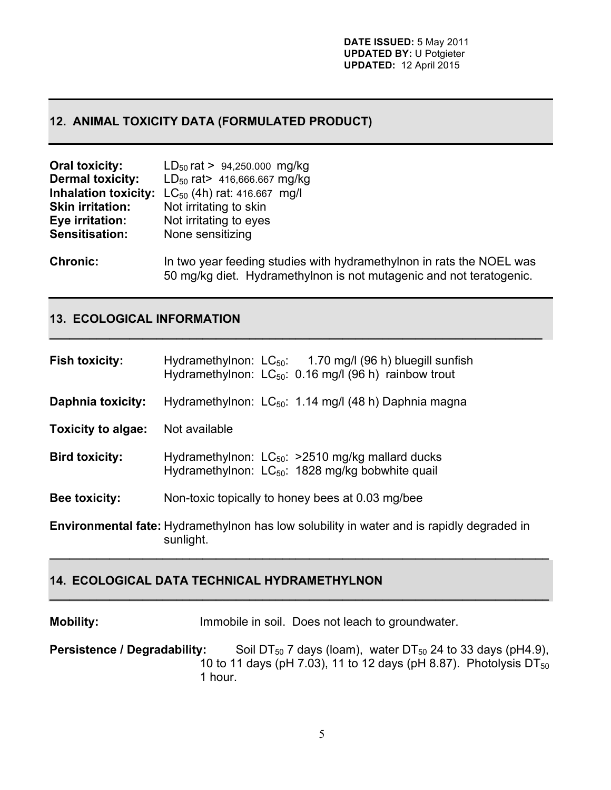## **12. ANIMAL TOXICITY DATA (FORMULATED PRODUCT)**

| <b>Oral toxicity:</b>       | $LD_{50}$ rat > 94,250.000 mg/kg                                                                                                            |
|-----------------------------|---------------------------------------------------------------------------------------------------------------------------------------------|
| <b>Dermal toxicity:</b>     | $LD_{50}$ rat > 416,666.667 mg/kg                                                                                                           |
| <b>Inhalation toxicity:</b> | $LC_{50}$ (4h) rat: 416.667 mg/l                                                                                                            |
| <b>Skin irritation:</b>     | Not irritating to skin                                                                                                                      |
| Eye irritation:             | Not irritating to eyes                                                                                                                      |
| Sensitisation:              | None sensitizing                                                                                                                            |
| <b>Chronic:</b>             | In two year feeding studies with hydramethylnon in rats the NOEL was<br>50 mg/kg diet. Hydramethylnon is not mutagenic and not teratogenic. |

## **13. ECOLOGICAL INFORMATION**

| <b>Fish toxicity:</b>     | Hydramethylnon: $LC_{50}$ : 1.70 mg/l (96 h) bluegill sunfish<br>Hydramethylnon: $LC_{50}$ : 0.16 mg/l (96 h) rainbow trout |
|---------------------------|-----------------------------------------------------------------------------------------------------------------------------|
| <b>Daphnia toxicity:</b>  | Hydramethylnon: LC <sub>50</sub> : 1.14 mg/l (48 h) Daphnia magna                                                           |
| <b>Toxicity to algae:</b> | Not available                                                                                                               |
| <b>Bird toxicity:</b>     | Hydramethylnon: $LC_{50}$ : >2510 mg/kg mallard ducks<br>Hydramethylnon: LC <sub>50</sub> : 1828 mg/kg bobwhite quail       |
| Bee toxicity:             | Non-toxic topically to honey bees at 0.03 mg/bee                                                                            |
|                           | <b>Environmental fate:</b> Hydramethylnon has low solubility in water and is rapidly degraded in<br>sunlight.               |

**\_\_\_\_\_\_\_\_\_\_\_\_\_\_\_\_\_\_\_\_\_\_\_\_\_\_\_\_\_\_\_\_\_\_\_\_\_\_\_\_\_\_\_\_\_\_\_\_\_\_\_\_\_\_\_\_\_\_\_\_\_\_\_\_\_\_\_\_\_\_\_\_\_\_**

## **14. ECOLOGICAL DATA TECHNICAL HYDRAMETHYLNON**

**Mobility:** Immobile in soil. Does not leach to groundwater.

**Persistence / Degradability:** Soil DT<sub>50</sub> 7 days (loam), water DT<sub>50</sub> 24 to 33 days (pH4.9), 10 to 11 days (pH 7.03), 11 to 12 days (pH 8.87). Photolysis  $DT_{50}$ 1 hour.

**\_\_\_\_\_\_\_\_\_\_\_\_\_\_\_\_\_\_\_\_\_\_\_\_\_\_\_\_\_\_\_\_\_\_\_\_\_\_\_\_\_\_\_\_\_\_\_\_\_\_\_\_\_\_\_\_\_\_\_\_\_\_\_\_\_\_\_\_\_\_\_\_\_\_\_**

**\_\_\_\_\_\_\_\_\_\_\_\_\_\_\_\_\_\_\_\_\_\_\_\_\_\_\_\_\_\_\_\_\_\_\_\_\_\_\_\_\_\_\_\_\_\_\_\_\_\_\_\_\_\_\_\_\_\_\_\_\_\_\_\_\_\_\_\_\_\_\_\_\_\_\_**